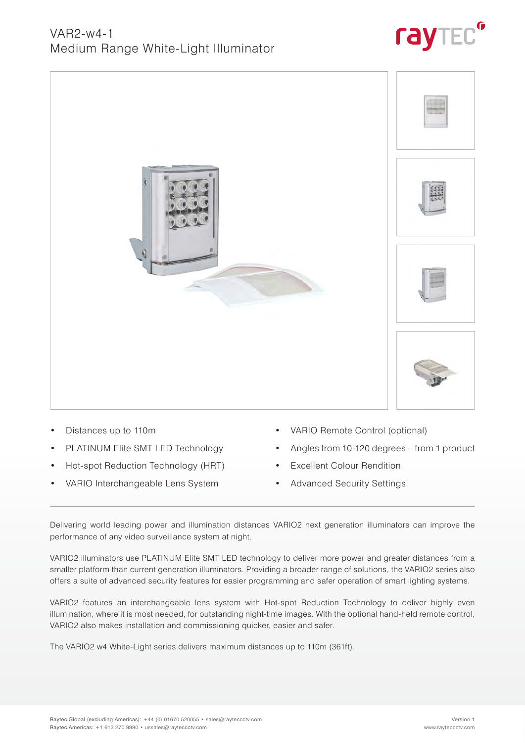### VAR2-w4-1 Medium Range White-Light Illuminator





- Distances up to 110m
- PLATINUM Elite SMT LED Technology
- Hot-spot Reduction Technology (HRT)
- VARIO Interchangeable Lens System
- VARIO Remote Control (optional)
- Angles from 10-120 degrees from 1 product
- **Excellent Colour Rendition**
- Advanced Security Settings

Delivering world leading power and illumination distances VARIO2 next generation illuminators can improve the performance of any video surveillance system at night.

VARIO2 illuminators use PLATINUM Elite SMT LED technology to deliver more power and greater distances from a smaller platform than current generation illuminators. Providing a broader range of solutions, the VARIO2 series also offers a suite of advanced security features for easier programming and safer operation of smart lighting systems.

VARIO2 features an interchangeable lens system with Hot-spot Reduction Technology to deliver highly even illumination, where it is most needed, for outstanding night-time images. With the optional hand-held remote control, VARIO2 also makes installation and commissioning quicker, easier and safer.

The VARIO2 w4 White-Light series delivers maximum distances up to 110m (361ft).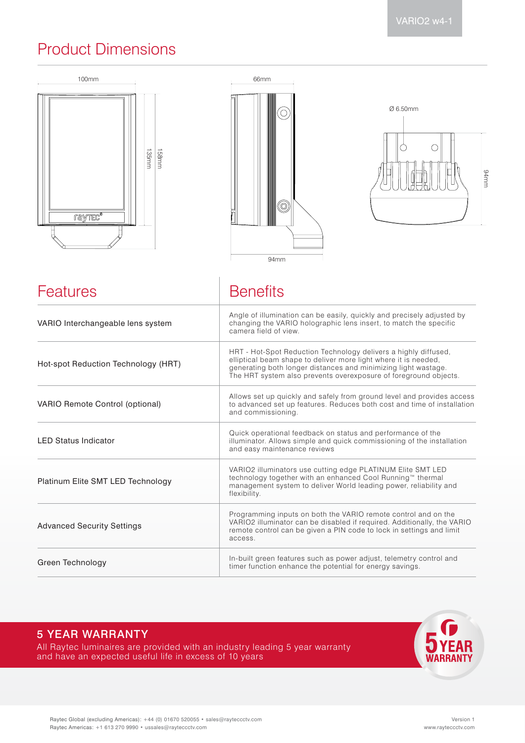### Product Dimensions







| Features                               | <b>Benefits</b>                                                                                                                                                                                                                                                          |  |
|----------------------------------------|--------------------------------------------------------------------------------------------------------------------------------------------------------------------------------------------------------------------------------------------------------------------------|--|
| VARIO Interchangeable lens system      | Angle of illumination can be easily, quickly and precisely adjusted by<br>changing the VARIO holographic lens insert, to match the specific<br>camera field of view.                                                                                                     |  |
| Hot-spot Reduction Technology (HRT)    | HRT - Hot-Spot Reduction Technology delivers a highly diffused,<br>elliptical beam shape to deliver more light where it is needed,<br>generating both longer distances and minimizing light wastage.<br>The HRT system also prevents overexposure of foreground objects. |  |
| <b>VARIO Remote Control (optional)</b> | Allows set up quickly and safely from ground level and provides access<br>to advanced set up features. Reduces both cost and time of installation<br>and commissioning.                                                                                                  |  |
| <b>LED Status Indicator</b>            | Quick operational feedback on status and performance of the<br>illuminator. Allows simple and quick commissioning of the installation<br>and easy maintenance reviews                                                                                                    |  |
| Platinum Elite SMT LED Technology      | VARIO2 illuminators use cutting edge PLATINUM Elite SMT LED<br>technology together with an enhanced Cool Running™ thermal<br>management system to deliver World leading power, reliability and<br>flexibility.                                                           |  |
| <b>Advanced Security Settings</b>      | Programming inputs on both the VARIO remote control and on the<br>VARIO2 illuminator can be disabled if required. Additionally, the VARIO<br>remote control can be given a PIN code to lock in settings and limit<br>access.                                             |  |
| Green Technology                       | In-built green features such as power adjust, telemetry control and<br>timer function enhance the potential for energy savings.                                                                                                                                          |  |

### 5 YEAR WARRANTY

All Raytec luminaires are provided with an industry leading 5 year warranty and have an expected useful life in excess of 10 years